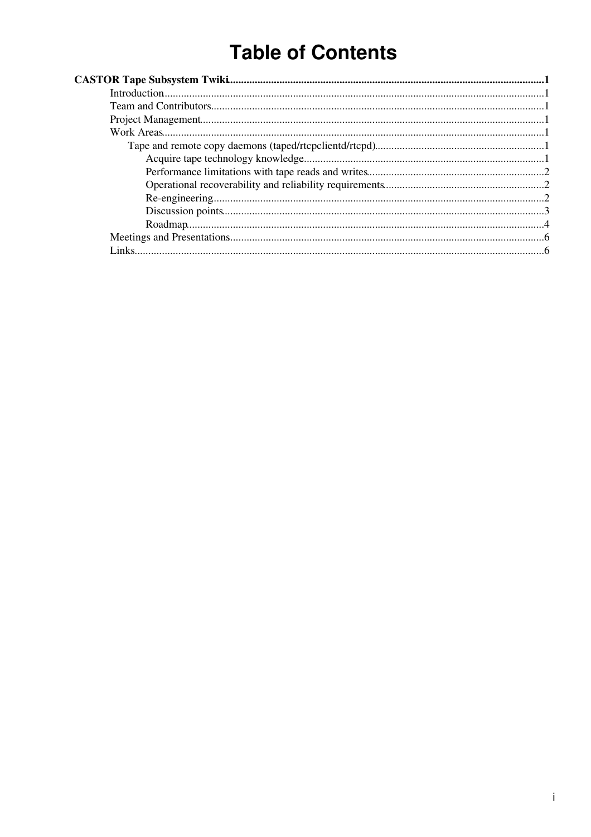# **Table of Contents**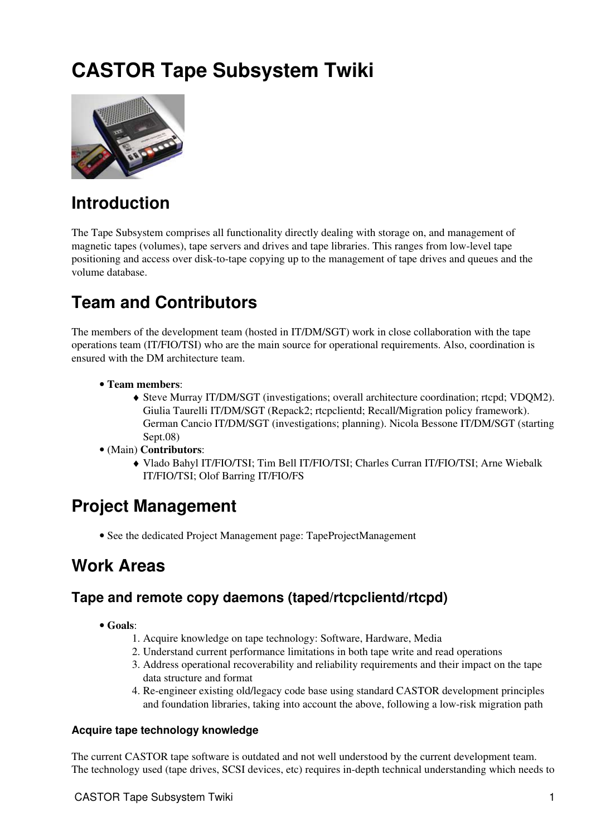# <span id="page-1-0"></span>**CASTOR Tape Subsystem Twiki**



## <span id="page-1-1"></span>**Introduction**

The Tape Subsystem comprises all functionality directly dealing with storage on, and management of magnetic tapes (volumes), tape servers and drives and tape libraries. This ranges from low-level tape positioning and access over disk-to-tape copying up to the management of tape drives and queues and the volume database.

## <span id="page-1-2"></span>**Team and Contributors**

The members of the development team (hosted in IT/DM/SGT) work in close collaboration with the tape operations team (IT/FIO/TSI) who are the main source for operational requirements. Also, coordination is ensured with the DM architecture team.

- **Team members**:
	- Steve Murray IT/DM/SGT (investigations; overall architecture coordination; rtcpd; VDQM2). ♦ Giulia Taurelli IT/DM/SGT (Repack2; rtcpclientd; Recall/Migration policy framework). German Cancio IT/DM/SGT (investigations; planning). Nicola Bessone IT/DM/SGT (starting Sept.08)
- (Main) **Contributors**:
	- Vlado Bahyl IT/FIO/TSI; Tim Bell IT/FIO/TSI; Charles Curran IT/FIO/TSI; Arne Wiebalk ♦ IT/FIO/TSI; Olof Barring IT/FIO/FS

## <span id="page-1-3"></span>**Project Management**

• See the dedicated [Project Management](https://twiki.cern.ch/twiki/bin/view/DataManagement/TapeProjectManagement) page: [TapeProjectManagement](https://twiki.cern.ch/twiki/bin/view/DataManagement/TapeProjectManagement)

## <span id="page-1-4"></span>**Work Areas**

### <span id="page-1-5"></span>**Tape and remote copy daemons (taped/rtcpclientd/rtcpd)**

- **Goals**:
	- 1. Acquire knowledge on tape technology: Software, Hardware, Media
	- 2. Understand current performance limitations in both tape write and read operations
	- Address operational recoverability and reliability requirements and their impact on the tape 3. data structure and format
	- 4. Re-engineer existing old/legacy code base using standard CASTOR development principles and foundation libraries, taking into account the above, following a low-risk migration path

#### <span id="page-1-6"></span>**Acquire tape technology knowledge**

The current CASTOR tape software is outdated and not well understood by the current development team. The technology used (tape drives, SCSI devices, etc) requires in-depth technical understanding which needs to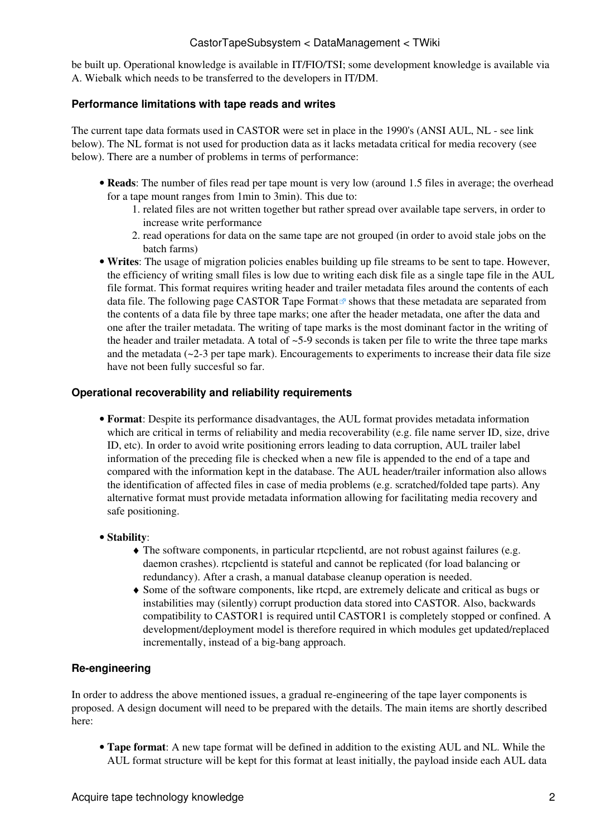be built up. Operational knowledge is available in IT/FIO/TSI; some development knowledge is available via A. Wiebalk which needs to be transferred to the developers in IT/DM.

#### <span id="page-2-0"></span>**Performance limitations with tape reads and writes**

The current tape data formats used in CASTOR were set in place in the 1990's (ANSI AUL, NL - see link below). The NL format is not used for production data as it lacks metadata critical for media recovery (see below). There are a number of problems in terms of performance:

- Reads: The number of files read per tape mount is very low (around 1.5 files in average; the overhead for a tape mount ranges from 1min to 3min). This due to:
	- 1. related files are not written together but rather spread over available tape servers, in order to increase write performance
	- 2. read operations for data on the same tape are not grouped (in order to avoid stale jobs on the batch farms)
- **Writes**: The usage of migration policies enables building up file streams to be sent to tape. However, the efficiency of writing small files is low due to writing each disk file as a single tape file in the AUL file format. This format requires writing header and trailer metadata files around the contents of each data file. The following page [CASTOR Tape Format](http://it-dep-fio-ds.web.cern.ch/it-dep-fio-ds/Documentation/castor-labels.asp) $\mathbb{F}$  shows that these metadata are separated from the contents of a data file by three tape marks; one after the header metadata, one after the data and one after the trailer metadata. The writing of tape marks is the most dominant factor in the writing of the header and trailer metadata. A total of  $\sim$  5-9 seconds is taken per file to write the three tape marks and the metadata (~2-3 per tape mark). Encouragements to experiments to increase their data file size have not been fully succesful so far.

#### <span id="page-2-1"></span>**Operational recoverability and reliability requirements**

- **Format**: Despite its performance disadvantages, the AUL format provides metadata information which are critical in terms of reliability and media recoverability (e.g. file name server ID, size, drive ID, etc). In order to avoid write positioning errors leading to data corruption, AUL trailer label information of the preceding file is checked when a new file is appended to the end of a tape and compared with the information kept in the database. The AUL header/trailer information also allows the identification of affected files in case of media problems (e.g. scratched/folded tape parts). Any alternative format must provide metadata information allowing for facilitating media recovery and safe positioning.
- **Stability**:
	- The software components, in particular rtcpclientd, are not robust against failures (e.g. ♦ daemon crashes). rtcpclientd is stateful and cannot be replicated (for load balancing or redundancy). After a crash, a manual database cleanup operation is needed.
	- Some of the software components, like rtcpd, are extremely delicate and critical as bugs or ♦ instabilities may (silently) corrupt production data stored into CASTOR. Also, backwards compatibility to CASTOR1 is required until CASTOR1 is completely stopped or confined. A development/deployment model is therefore required in which modules get updated/replaced incrementally, instead of a big-bang approach.

#### <span id="page-2-2"></span>**Re-engineering**

In order to address the above mentioned issues, a gradual re-engineering of the tape layer components is proposed. A design document will need to be prepared with the details. The main items are shortly described here:

**Tape format**: A new tape format will be defined in addition to the existing AUL and NL. While the • AUL format structure will be kept for this format at least initially, the payload inside each AUL data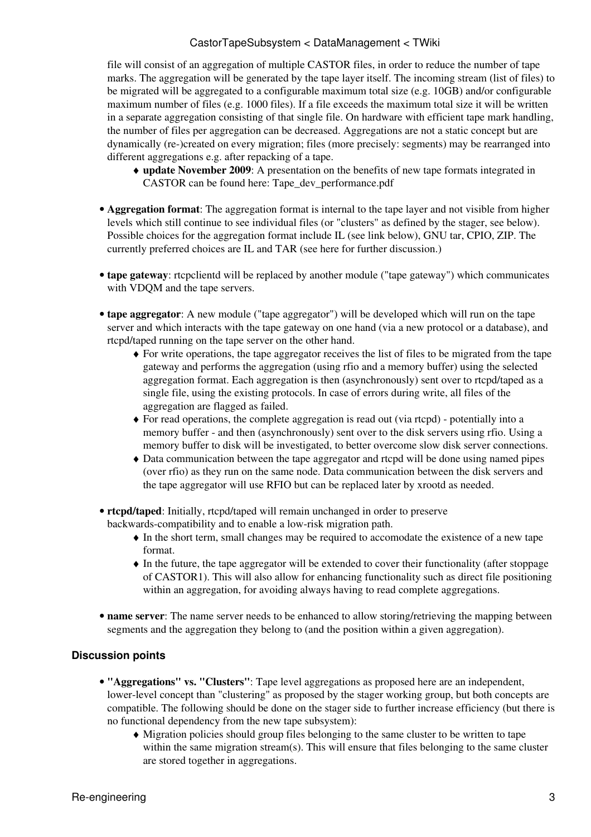file will consist of an aggregation of multiple CASTOR files, in order to reduce the number of tape marks. The aggregation will be generated by the tape layer itself. The incoming stream (list of files) to be migrated will be aggregated to a configurable maximum total size (e.g. 10GB) and/or configurable maximum number of files (e.g. 1000 files). If a file exceeds the maximum total size it will be written in a separate aggregation consisting of that single file. On hardware with efficient tape mark handling, the number of files per aggregation can be decreased. Aggregations are not a static concept but are dynamically (re-)created on every migration; files (more precisely: segments) may be rearranged into different aggregations e.g. after repacking of a tape.

- **update November 2009**: A presentation on the benefits of new tape formats integrated in ♦ CASTOR can be found here: [Tape\\_dev\\_performance.pdf](https://twiki.cern.ch/twiki/pub/DataManagement/CastorTapeSubsystem/Tape_dev_performance.pdf)
- **Aggregation format**: The aggregation format is internal to the tape layer and not visible from higher levels which still continue to see individual files (or "clusters" as defined by the stager, see below). Possible choices for the aggregation format include IL (see link below), GNU tar, CPIO, ZIP. The currently preferred choices are IL and TAR (see [here](https://twiki.cern.ch/twiki/bin/view/DataManagement/TapeAggregationFormatDiscussion) for further discussion.)
- **tape gateway**: rtcpclientd will be replaced by another module ("tape gateway") which communicates with VDQM and the tape servers.
- **tape aggregator**: A new module ("tape aggregator") will be developed which will run on the tape server and which interacts with the tape gateway on one hand (via a new protocol or a database), and rtcpd/taped running on the tape server on the other hand.
	- For write operations, the tape aggregator receives the list of files to be migrated from the tape ♦ gateway and performs the aggregation (using rfio and a memory buffer) using the selected aggregation format. Each aggregation is then (asynchronously) sent over to rtcpd/taped as a single file, using the existing protocols. In case of errors during write, all files of the aggregation are flagged as failed.
	- For read operations, the complete aggregation is read out (via rtcpd) potentially into a ♦ memory buffer - and then (asynchronously) sent over to the disk servers using rfio. Using a memory buffer to disk will be investigated, to better overcome slow disk server connections.
	- Data communication between the tape aggregator and rtcpd will be done using named pipes ♦ (over rfio) as they run on the same node. Data communication between the disk servers and the tape aggregator will use RFIO but can be replaced later by xrootd as needed.
- **rtcpd/taped**: Initially, rtcpd/taped will remain unchanged in order to preserve backwards-compatibility and to enable a low-risk migration path.
	- In the short term, small changes may be required to accomodate the existence of a new tape ♦ format.
	- In the future, the tape aggregator will be extended to cover their functionality (after stoppage ♦ of CASTOR1). This will also allow for enhancing functionality such as direct file positioning within an aggregation, for avoiding always having to read complete aggregations.
- name server: The name server needs to be enhanced to allow storing/retrieving the mapping between segments and the aggregation they belong to (and the position within a given aggregation).

#### <span id="page-3-0"></span>**Discussion points**

- **"Aggregations" vs. "Clusters"**: Tape level aggregations as proposed here are an independent, lower-level concept than "clustering" as proposed by the stager working group, but both concepts are compatible. The following should be done on the stager side to further increase efficiency (but there is no functional dependency from the new tape subsystem):
	- Migration policies should group files belonging to the same cluster to be written to tape ♦ within the same migration stream(s). This will ensure that files belonging to the same cluster are stored together in aggregations.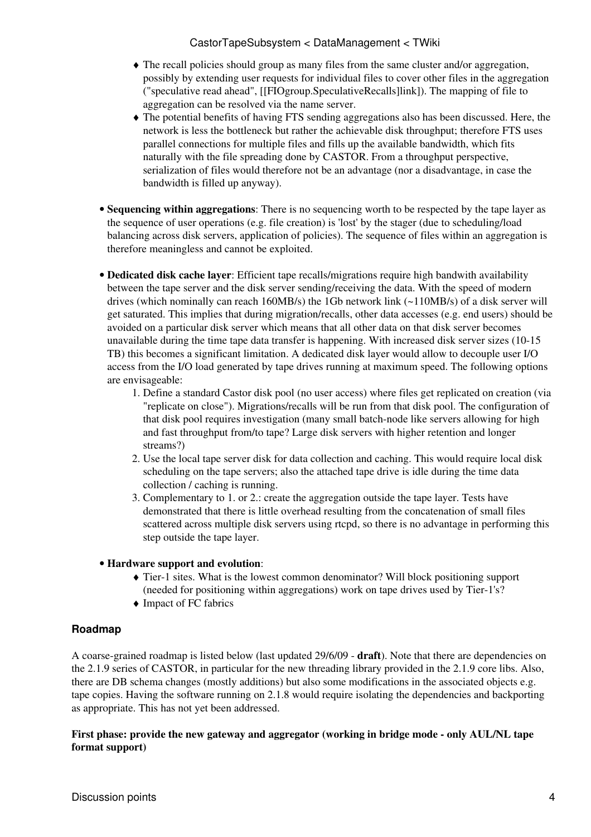- The recall policies should group as many files from the same cluster and/or aggregation, ♦ possibly by extending user requests for individual files to cover other files in the aggregation ("speculative read ahead", [[FIOgroup.SpeculativeRecalls]link]). The mapping of file to aggregation can be resolved via the name server.
- The potential benefits of having FTS sending aggregations also has been discussed. Here, the ♦ network is less the bottleneck but rather the achievable disk throughput; therefore FTS uses parallel connections for multiple files and fills up the available bandwidth, which fits naturally with the file spreading done by CASTOR. From a throughput perspective, serialization of files would therefore not be an advantage (nor a disadvantage, in case the bandwidth is filled up anyway).
- **Sequencing within aggregations**: There is no sequencing worth to be respected by the tape layer as the sequence of user operations (e.g. file creation) is 'lost' by the stager (due to scheduling/load balancing across disk servers, application of policies). The sequence of files within an aggregation is therefore meaningless and cannot be exploited.
- **Dedicated disk cache layer**: Efficient tape recalls/migrations require high bandwith availability between the tape server and the disk server sending/receiving the data. With the speed of modern drives (which nominally can reach 160MB/s) the 1Gb network link (~110MB/s) of a disk server will get saturated. This implies that during migration/recalls, other data accesses (e.g. end users) should be avoided on a particular disk server which means that all other data on that disk server becomes unavailable during the time tape data transfer is happening. With increased disk server sizes (10-15 TB) this becomes a significant limitation. A dedicated disk layer would allow to decouple user I/O access from the I/O load generated by tape drives running at maximum speed. The following options are envisageable:
	- 1. Define a standard Castor disk pool (no user access) where files get replicated on creation (via "replicate on close"). Migrations/recalls will be run from that disk pool. The configuration of that disk pool requires investigation (many small batch-node like servers allowing for high and fast throughput from/to tape? Large disk servers with higher retention and longer streams?)
	- 2. Use the local tape server disk for data collection and caching. This would require local disk scheduling on the tape servers; also the attached tape drive is idle during the time data collection / caching is running.
	- Complementary to 1. or 2.: create the aggregation outside the tape layer. Tests have 3. demonstrated that there is little overhead resulting from the concatenation of small files scattered across multiple disk servers using rtcpd, so there is no advantage in performing this step outside the tape layer.

#### **Hardware support and evolution**: •

- Tier-1 sites. What is the lowest common denominator? Will block positioning support ♦ (needed for positioning within aggregations) work on tape drives used by Tier-1's?
- ♦ Impact of FC fabrics

#### <span id="page-4-0"></span>**Roadmap**

A coarse-grained roadmap is listed below (last updated 29/6/09 - **draft**). Note that there are dependencies on the 2.1.9 series of CASTOR, in particular for the new threading library provided in the 2.1.9 core libs. Also, there are DB schema changes (mostly additions) but also some modifications in the associated objects e.g. tape copies. Having the software running on 2.1.8 would require isolating the dependencies and backporting as appropriate. This has not yet been addressed.

#### **First phase: provide the new gateway and aggregator (working in bridge mode - only AUL/NL tape format support)**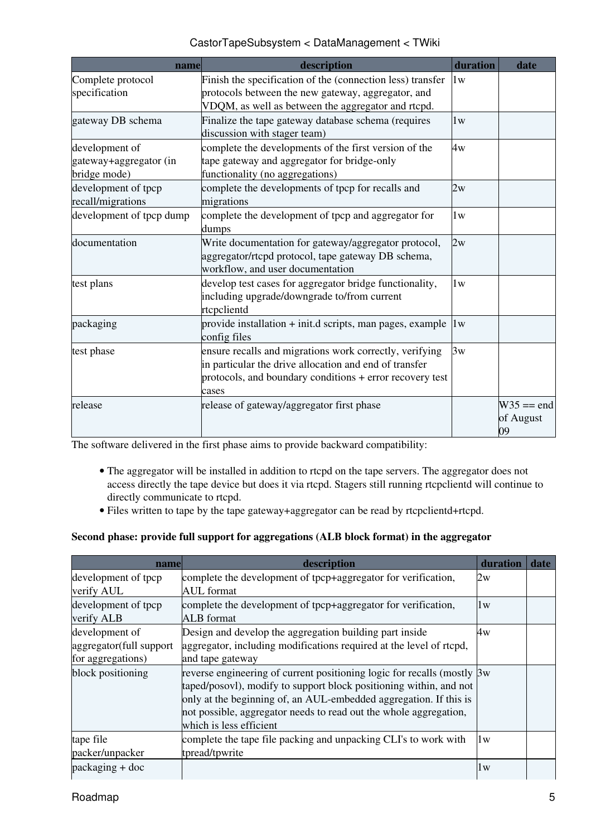| name                                                     | description                                                                                                                                                                            | duration | date                            |
|----------------------------------------------------------|----------------------------------------------------------------------------------------------------------------------------------------------------------------------------------------|----------|---------------------------------|
| Complete protocol<br>specification                       | Finish the specification of the (connection less) transfer<br>protocols between the new gateway, aggregator, and<br>VDQM, as well as between the aggregator and rtcpd.                 | 1w       |                                 |
| gateway DB schema                                        | Finalize the tape gateway database schema (requires<br>discussion with stager team)                                                                                                    | 1w       |                                 |
| development of<br>gateway+aggregator (in<br>bridge mode) | complete the developments of the first version of the<br>tape gateway and aggregator for bridge-only<br>functionality (no aggregations)                                                | 4w       |                                 |
| development of tpcp<br>recall/migrations                 | complete the developments of tpcp for recalls and<br>migrations                                                                                                                        | 2w       |                                 |
| development of tpcp dump                                 | complete the development of tpcp and aggregator for<br>dumps                                                                                                                           | 1w       |                                 |
| documentation                                            | Write documentation for gateway/aggregator protocol,<br>aggregator/rtcpd protocol, tape gateway DB schema,<br>workflow, and user documentation                                         | 2w       |                                 |
| test plans                                               | develop test cases for aggregator bridge functionality,<br>including upgrade/downgrade to/from current<br>rtcpclientd                                                                  | 1w       |                                 |
| packaging                                                | provide installation + init.d scripts, man pages, example<br>config files                                                                                                              | 1w       |                                 |
| test phase                                               | ensure recalls and migrations work correctly, verifying<br>in particular the drive allocation and end of transfer<br>protocols, and boundary conditions + error recovery test<br>cases | 3w       |                                 |
| release                                                  | release of gateway/aggregator first phase                                                                                                                                              |          | $W35 == end$<br>of August<br>09 |

The software delivered in the first phase aims to provide backward compatibility:

- The aggregator will be installed in addition to rtcpd on the tape servers. The aggregator does not access directly the tape device but does it via rtcpd. Stagers still running rtcpclientd will continue to directly communicate to rtcpd.
- Files written to tape by the tape gateway+aggregator can be read by rtcpclientd+rtcpd.

#### **Second phase: provide full support for aggregations (ALB block format) in the aggregator**

| name                    | description                                                             | duration | date |
|-------------------------|-------------------------------------------------------------------------|----------|------|
| development of tpcp     | complete the development of tpcp+aggregator for verification,           | 2w       |      |
| verify AUL              | <b>AUL</b> format                                                       |          |      |
| development of tpcp     | complete the development of tpcp+aggregator for verification,           | 1w       |      |
| verify ALB              | <b>ALB</b> format                                                       |          |      |
| development of          | Design and develop the aggregation building part inside                 | 4w       |      |
| aggregator(full support | aggregator, including modifications required at the level of rtcpd,     |          |      |
| for aggregations)       | and tape gateway                                                        |          |      |
| block positioning       | reverse engineering of current positioning logic for recalls (mostly Bw |          |      |
|                         | taped/posovl), modify to support block positioning within, and not      |          |      |
|                         | only at the beginning of, an AUL-embedded aggregation. If this is       |          |      |
|                         | not possible, aggregator needs to read out the whole aggregation,       |          |      |
|                         | which is less efficient                                                 |          |      |
| tape file               | complete the tape file packing and unpacking CLI's to work with         | 1w       |      |
| packer/unpacker         | tpread/tpwrite                                                          |          |      |
| $package + doc$         |                                                                         | 1w       |      |